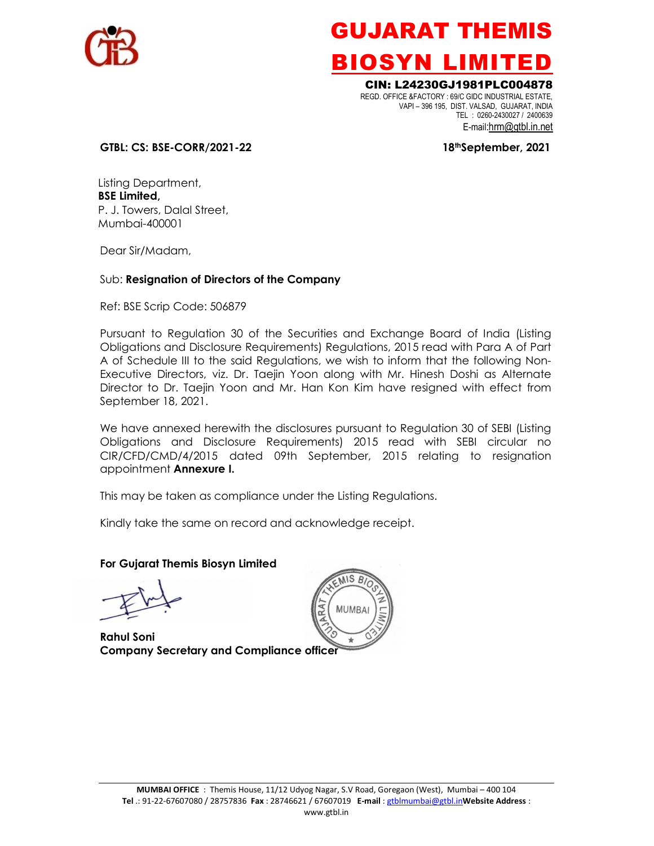

### GUJARAT THEMIS BIOSYN LIMITED

### CIN: L24230GJ1981PLC004878

 REGD. OFFICE &FACTORY : 69/C GIDC INDUSTRIAL ESTATE, VAPI – 396 195, DIST. VALSAD, GUJARAT, INDIA TEL : 0260-2430027 / 2400639 E-mail:hrm@gtbl.in.net

#### GTBL: CS: BSE-CORR/2021-22 18thSeptember, 2021

Listing Department, BSE Limited, P. J. Towers, Dalal Street, Mumbai-400001

Dear Sir/Madam,

#### Sub: Resignation of Directors of the Company

Ref: BSE Scrip Code: 506879

Pursuant to Regulation 30 of the Securities and Exchange Board of India (Listing Obligations and Disclosure Requirements) Regulations, 2015 read with Para A of Part A of Schedule III to the said Regulations, we wish to inform that the following Non-Executive Directors, viz. Dr. Taejin Yoon along with Mr. Hinesh Doshi as Alternate Director to Dr. Taejin Yoon and Mr. Han Kon Kim have resigned with effect from September 18, 2021.

We have annexed herewith the disclosures pursuant to Regulation 30 of SEBI (Listing Obligations and Disclosure Requirements) 2015 read with SEBI circular no CIR/CFD/CMD/4/2015 dated 09th September, 2015 relating to resignation appointment Annexure I.

This may be taken as compliance under the Listing Regulations.

Kindly take the same on record and acknowledge receipt.

#### For Gujarat Themis Biosyn Limited

Rahul Soni Company Secretary and Compliance officer

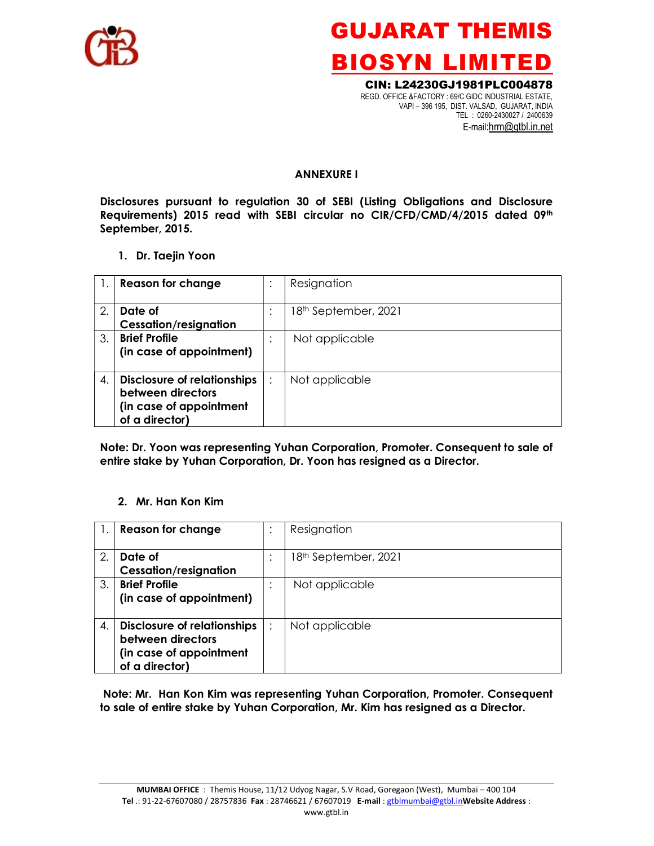

# GUJARAT THEMIS BIOSYN LIMITED

CIN: L24230GJ1981PLC004878 REGD. OFFICE &FACTORY : 69/C GIDC INDUSTRIAL ESTATE, VAPI – 396 195, DIST. VALSAD, GUJARAT, INDIA TEL : 0260-2430027 / 2400639 E-mail:hrm@gtbl.in.net

#### ANNEXURE I

Disclosures pursuant to regulation 30 of SEBI (Listing Obligations and Disclosure Requirements) 2015 read with SEBI circular no CIR/CFD/CMD/4/2015 dated 09th September, 2015.

#### 1. Dr. Taejin Yoon

|                       | <b>Reason for change</b>                                                                             | $\bullet$ | Resignation                      |
|-----------------------|------------------------------------------------------------------------------------------------------|-----------|----------------------------------|
| $\mathcal{P}_{\cdot}$ | Date of<br><b>Cessation/resignation</b>                                                              | $\cdot$   | 18 <sup>th</sup> September, 2021 |
| 3.                    | <b>Brief Profile</b><br>(in case of appointment)                                                     |           | Not applicable                   |
| 4.                    | <b>Disclosure of relationships</b><br>between directors<br>(in case of appointment<br>of a director) |           | Not applicable                   |

Note: Dr. Yoon was representing Yuhan Corporation, Promoter. Consequent to sale of entire stake by Yuhan Corporation, Dr. Yoon has resigned as a Director.

#### 2. Mr. Han Kon Kim

|    | <b>Reason for change</b>                                                                             | $\bullet$ | Resignation                      |
|----|------------------------------------------------------------------------------------------------------|-----------|----------------------------------|
| 2. | Date of<br><b>Cessation/resignation</b>                                                              | $\cdot$   | 18 <sup>th</sup> September, 2021 |
| 3. | <b>Brief Profile</b><br>(in case of appointment)                                                     |           | Not applicable                   |
| 4. | <b>Disclosure of relationships</b><br>between directors<br>(in case of appointment<br>of a director) |           | Not applicable                   |

 Note: Mr. Han Kon Kim was representing Yuhan Corporation, Promoter. Consequent to sale of entire stake by Yuhan Corporation, Mr. Kim has resigned as a Director.